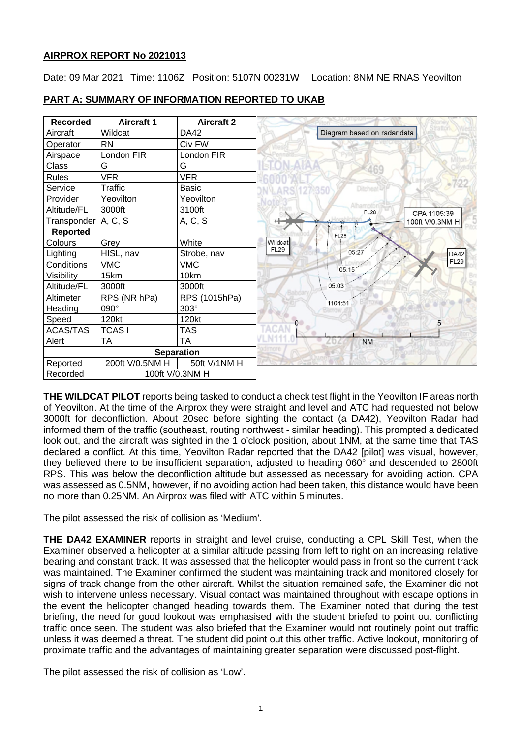# **AIRPROX REPORT No 2021013**

Date: 09 Mar 2021 Time: 1106Z Position: 5107N 00231W Location: 8NM NE RNAS Yeovilton



# **PART A: SUMMARY OF INFORMATION REPORTED TO UKAB**

**THE WILDCAT PILOT** reports being tasked to conduct a check test flight in the Yeovilton IF areas north of Yeovilton. At the time of the Airprox they were straight and level and ATC had requested not below 3000ft for deconfliction. About 20sec before sighting the contact (a DA42), Yeovilton Radar had informed them of the traffic (southeast, routing northwest - similar heading). This prompted a dedicated look out, and the aircraft was sighted in the 1 o'clock position, about 1NM, at the same time that TAS declared a conflict. At this time, Yeovilton Radar reported that the DA42 [pilot] was visual, however, they believed there to be insufficient separation, adjusted to heading 060° and descended to 2800ft RPS. This was below the deconfliction altitude but assessed as necessary for avoiding action. CPA was assessed as 0.5NM, however, if no avoiding action had been taken, this distance would have been no more than 0.25NM. An Airprox was filed with ATC within 5 minutes.

The pilot assessed the risk of collision as 'Medium'.

**THE DA42 EXAMINER** reports in straight and level cruise, conducting a CPL Skill Test, when the Examiner observed a helicopter at a similar altitude passing from left to right on an increasing relative bearing and constant track. It was assessed that the helicopter would pass in front so the current track was maintained. The Examiner confirmed the student was maintaining track and monitored closely for signs of track change from the other aircraft. Whilst the situation remained safe, the Examiner did not wish to intervene unless necessary. Visual contact was maintained throughout with escape options in the event the helicopter changed heading towards them. The Examiner noted that during the test briefing, the need for good lookout was emphasised with the student briefed to point out conflicting traffic once seen. The student was also briefed that the Examiner would not routinely point out traffic unless it was deemed a threat. The student did point out this other traffic. Active lookout, monitoring of proximate traffic and the advantages of maintaining greater separation were discussed post-flight.

The pilot assessed the risk of collision as 'Low'.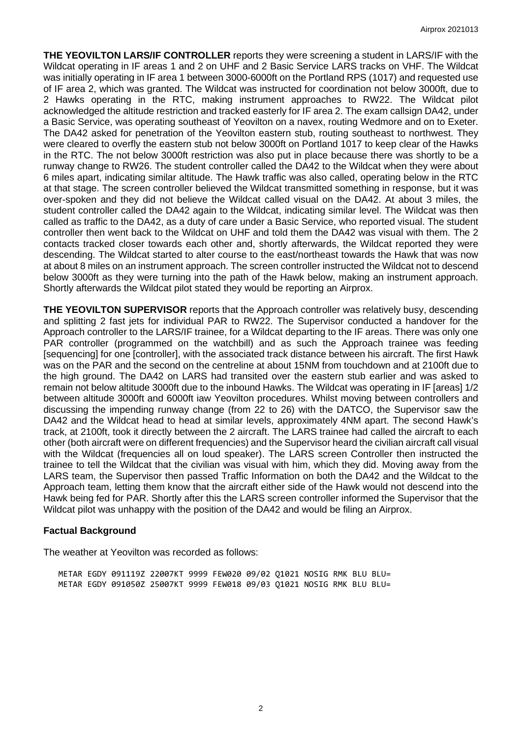**THE YEOVILTON LARS/IF CONTROLLER** reports they were screening a student in LARS/IF with the Wildcat operating in IF areas 1 and 2 on UHF and 2 Basic Service LARS tracks on VHF. The Wildcat was initially operating in IF area 1 between 3000-6000ft on the Portland RPS (1017) and requested use of IF area 2, which was granted. The Wildcat was instructed for coordination not below 3000ft, due to 2 Hawks operating in the RTC, making instrument approaches to RW22. The Wildcat pilot acknowledged the altitude restriction and tracked easterly for IF area 2. The exam callsign DA42, under a Basic Service, was operating southeast of Yeovilton on a navex, routing Wedmore and on to Exeter. The DA42 asked for penetration of the Yeovilton eastern stub, routing southeast to northwest. They were cleared to overfly the eastern stub not below 3000ft on Portland 1017 to keep clear of the Hawks in the RTC. The not below 3000ft restriction was also put in place because there was shortly to be a runway change to RW26. The student controller called the DA42 to the Wildcat when they were about 6 miles apart, indicating similar altitude. The Hawk traffic was also called, operating below in the RTC at that stage. The screen controller believed the Wildcat transmitted something in response, but it was over-spoken and they did not believe the Wildcat called visual on the DA42. At about 3 miles, the student controller called the DA42 again to the Wildcat, indicating similar level. The Wildcat was then called as traffic to the DA42, as a duty of care under a Basic Service, who reported visual. The student controller then went back to the Wildcat on UHF and told them the DA42 was visual with them. The 2 contacts tracked closer towards each other and, shortly afterwards, the Wildcat reported they were descending. The Wildcat started to alter course to the east/northeast towards the Hawk that was now at about 8 miles on an instrument approach. The screen controller instructed the Wildcat not to descend below 3000ft as they were turning into the path of the Hawk below, making an instrument approach. Shortly afterwards the Wildcat pilot stated they would be reporting an Airprox.

**THE YEOVILTON SUPERVISOR** reports that the Approach controller was relatively busy, descending and splitting 2 fast jets for individual PAR to RW22. The Supervisor conducted a handover for the Approach controller to the LARS/IF trainee, for a Wildcat departing to the IF areas. There was only one PAR controller (programmed on the watchbill) and as such the Approach trainee was feeding [sequencing] for one [controller], with the associated track distance between his aircraft. The first Hawk was on the PAR and the second on the centreline at about 15NM from touchdown and at 2100ft due to the high ground. The DA42 on LARS had transited over the eastern stub earlier and was asked to remain not below altitude 3000ft due to the inbound Hawks. The Wildcat was operating in IF [areas] 1/2 between altitude 3000ft and 6000ft iaw Yeovilton procedures. Whilst moving between controllers and discussing the impending runway change (from 22 to 26) with the DATCO, the Supervisor saw the DA42 and the Wildcat head to head at similar levels, approximately 4NM apart. The second Hawk's track, at 2100ft, took it directly between the 2 aircraft. The LARS trainee had called the aircraft to each other (both aircraft were on different frequencies) and the Supervisor heard the civilian aircraft call visual with the Wildcat (frequencies all on loud speaker). The LARS screen Controller then instructed the trainee to tell the Wildcat that the civilian was visual with him, which they did. Moving away from the LARS team, the Supervisor then passed Traffic Information on both the DA42 and the Wildcat to the Approach team, letting them know that the aircraft either side of the Hawk would not descend into the Hawk being fed for PAR. Shortly after this the LARS screen controller informed the Supervisor that the Wildcat pilot was unhappy with the position of the DA42 and would be filing an Airprox.

#### **Factual Background**

The weather at Yeovilton was recorded as follows:

METAR EGDY 091119Z 22007KT 9999 FEW020 09/02 Q1021 NOSIG RMK BLU BLU= METAR EGDY 091050Z 25007KT 9999 FEW018 09/03 Q1021 NOSIG RMK BLU BLU=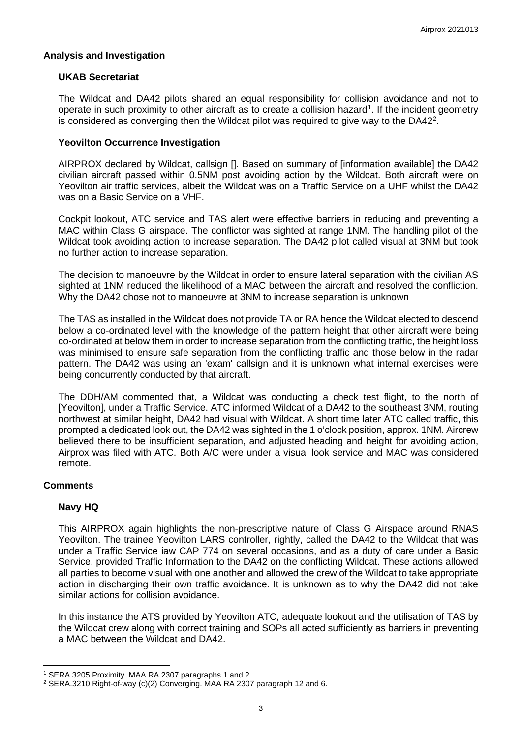# **Analysis and Investigation**

#### **UKAB Secretariat**

The Wildcat and DA42 pilots shared an equal responsibility for collision avoidance and not to operate in such proximity to other aircraft as to create a collision hazard<sup>[1](#page-2-0)</sup>. If the incident geometry is considered as converging then the Wildcat pilot was required to give way to the DA4[2](#page-2-1)<sup>2</sup>.

### **Yeovilton Occurrence Investigation**

AIRPROX declared by Wildcat, callsign []. Based on summary of [information available] the DA42 civilian aircraft passed within 0.5NM post avoiding action by the Wildcat. Both aircraft were on Yeovilton air traffic services, albeit the Wildcat was on a Traffic Service on a UHF whilst the DA42 was on a Basic Service on a VHF.

Cockpit lookout, ATC service and TAS alert were effective barriers in reducing and preventing a MAC within Class G airspace. The conflictor was sighted at range 1NM. The handling pilot of the Wildcat took avoiding action to increase separation. The DA42 pilot called visual at 3NM but took no further action to increase separation.

The decision to manoeuvre by the Wildcat in order to ensure lateral separation with the civilian AS sighted at 1NM reduced the likelihood of a MAC between the aircraft and resolved the confliction. Why the DA42 chose not to manoeuvre at 3NM to increase separation is unknown

The TAS as installed in the Wildcat does not provide TA or RA hence the Wildcat elected to descend below a co-ordinated level with the knowledge of the pattern height that other aircraft were being co-ordinated at below them in order to increase separation from the conflicting traffic, the height loss was minimised to ensure safe separation from the conflicting traffic and those below in the radar pattern. The DA42 was using an 'exam' callsign and it is unknown what internal exercises were being concurrently conducted by that aircraft.

The DDH/AM commented that, a Wildcat was conducting a check test flight, to the north of [Yeovilton], under a Traffic Service. ATC informed Wildcat of a DA42 to the southeast 3NM, routing northwest at similar height, DA42 had visual with Wildcat. A short time later ATC called traffic, this prompted a dedicated look out, the DA42 was sighted in the 1 o'clock position, approx. 1NM. Aircrew believed there to be insufficient separation, and adjusted heading and height for avoiding action, Airprox was filed with ATC. Both A/C were under a visual look service and MAC was considered remote.

# **Comments**

# **Navy HQ**

This AIRPROX again highlights the non-prescriptive nature of Class G Airspace around RNAS Yeovilton. The trainee Yeovilton LARS controller, rightly, called the DA42 to the Wildcat that was under a Traffic Service iaw CAP 774 on several occasions, and as a duty of care under a Basic Service, provided Traffic Information to the DA42 on the conflicting Wildcat. These actions allowed all parties to become visual with one another and allowed the crew of the Wildcat to take appropriate action in discharging their own traffic avoidance. It is unknown as to why the DA42 did not take similar actions for collision avoidance.

In this instance the ATS provided by Yeovilton ATC, adequate lookout and the utilisation of TAS by the Wildcat crew along with correct training and SOPs all acted sufficiently as barriers in preventing a MAC between the Wildcat and DA42.

<span id="page-2-0"></span><sup>1</sup> SERA.3205 Proximity. MAA RA 2307 paragraphs 1 and 2.

<span id="page-2-1"></span><sup>2</sup> SERA.3210 Right-of-way (c)(2) Converging. MAA RA 2307 paragraph 12 and 6.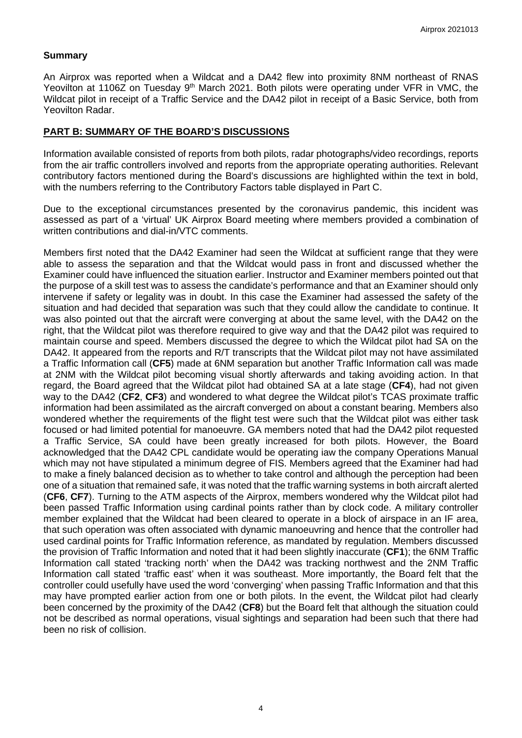### **Summary**

An Airprox was reported when a Wildcat and a DA42 flew into proximity 8NM northeast of RNAS Yeovilton at 1106Z on Tuesday 9<sup>th</sup> March 2021. Both pilots were operating under VFR in VMC, the Wildcat pilot in receipt of a Traffic Service and the DA42 pilot in receipt of a Basic Service, both from Yeovilton Radar.

### **PART B: SUMMARY OF THE BOARD'S DISCUSSIONS**

Information available consisted of reports from both pilots, radar photographs/video recordings, reports from the air traffic controllers involved and reports from the appropriate operating authorities. Relevant contributory factors mentioned during the Board's discussions are highlighted within the text in bold, with the numbers referring to the Contributory Factors table displayed in Part C.

Due to the exceptional circumstances presented by the coronavirus pandemic, this incident was assessed as part of a 'virtual' UK Airprox Board meeting where members provided a combination of written contributions and dial-in/VTC comments.

Members first noted that the DA42 Examiner had seen the Wildcat at sufficient range that they were able to assess the separation and that the Wildcat would pass in front and discussed whether the Examiner could have influenced the situation earlier. Instructor and Examiner members pointed out that the purpose of a skill test was to assess the candidate's performance and that an Examiner should only intervene if safety or legality was in doubt. In this case the Examiner had assessed the safety of the situation and had decided that separation was such that they could allow the candidate to continue. It was also pointed out that the aircraft were converging at about the same level, with the DA42 on the right, that the Wildcat pilot was therefore required to give way and that the DA42 pilot was required to maintain course and speed. Members discussed the degree to which the Wildcat pilot had SA on the DA42. It appeared from the reports and R/T transcripts that the Wildcat pilot may not have assimilated a Traffic Information call (**CF5**) made at 6NM separation but another Traffic Information call was made at 2NM with the Wildcat pilot becoming visual shortly afterwards and taking avoiding action. In that regard, the Board agreed that the Wildcat pilot had obtained SA at a late stage (**CF4**), had not given way to the DA42 (**CF2**, **CF3**) and wondered to what degree the Wildcat pilot's TCAS proximate traffic information had been assimilated as the aircraft converged on about a constant bearing. Members also wondered whether the requirements of the flight test were such that the Wildcat pilot was either task focused or had limited potential for manoeuvre. GA members noted that had the DA42 pilot requested a Traffic Service, SA could have been greatly increased for both pilots. However, the Board acknowledged that the DA42 CPL candidate would be operating iaw the company Operations Manual which may not have stipulated a minimum degree of FIS. Members agreed that the Examiner had had to make a finely balanced decision as to whether to take control and although the perception had been one of a situation that remained safe, it was noted that the traffic warning systems in both aircraft alerted (**CF6**, **CF7**). Turning to the ATM aspects of the Airprox, members wondered why the Wildcat pilot had been passed Traffic Information using cardinal points rather than by clock code. A military controller member explained that the Wildcat had been cleared to operate in a block of airspace in an IF area, that such operation was often associated with dynamic manoeuvring and hence that the controller had used cardinal points for Traffic Information reference, as mandated by regulation. Members discussed the provision of Traffic Information and noted that it had been slightly inaccurate (**CF1**); the 6NM Traffic Information call stated 'tracking north' when the DA42 was tracking northwest and the 2NM Traffic Information call stated 'traffic east' when it was southeast. More importantly, the Board felt that the controller could usefully have used the word 'converging' when passing Traffic Information and that this may have prompted earlier action from one or both pilots. In the event, the Wildcat pilot had clearly been concerned by the proximity of the DA42 (**CF8**) but the Board felt that although the situation could not be described as normal operations, visual sightings and separation had been such that there had been no risk of collision.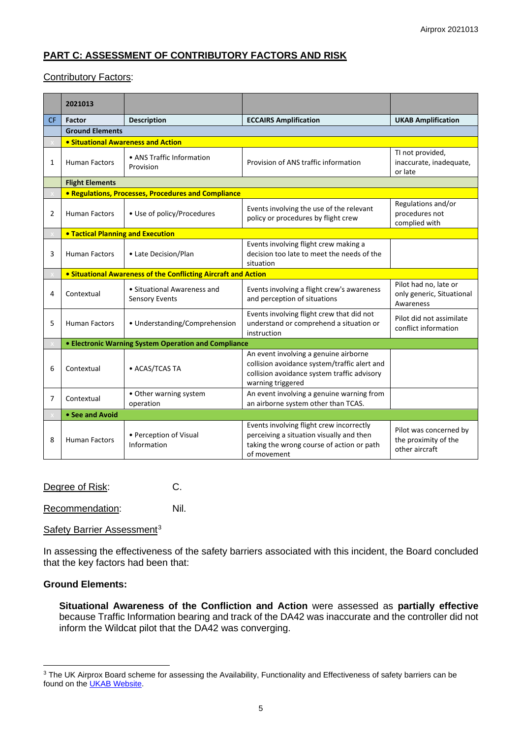# **PART C: ASSESSMENT OF CONTRIBUTORY FACTORS AND RISK**

#### Contributory Factors:

|           | 2021013                                              |                                                                |                                                                                                                                                           |                                                                  |  |  |  |  |  |  |  |
|-----------|------------------------------------------------------|----------------------------------------------------------------|-----------------------------------------------------------------------------------------------------------------------------------------------------------|------------------------------------------------------------------|--|--|--|--|--|--|--|
| <b>CF</b> | <b>Factor</b>                                        | <b>Description</b>                                             | <b>ECCAIRS Amplification</b>                                                                                                                              | <b>UKAB Amplification</b>                                        |  |  |  |  |  |  |  |
|           | <b>Ground Elements</b>                               |                                                                |                                                                                                                                                           |                                                                  |  |  |  |  |  |  |  |
|           |                                                      | • Situational Awareness and Action                             |                                                                                                                                                           |                                                                  |  |  |  |  |  |  |  |
| 1         | <b>Human Factors</b>                                 | • ANS Traffic Information<br>Provision                         | Provision of ANS traffic information                                                                                                                      | TI not provided,<br>inaccurate, inadequate,<br>or late           |  |  |  |  |  |  |  |
|           | <b>Flight Elements</b>                               |                                                                |                                                                                                                                                           |                                                                  |  |  |  |  |  |  |  |
|           |                                                      | • Regulations, Processes, Procedures and Compliance            |                                                                                                                                                           |                                                                  |  |  |  |  |  |  |  |
| 2         | <b>Human Factors</b>                                 | • Use of policy/Procedures                                     | Events involving the use of the relevant<br>policy or procedures by flight crew                                                                           | Regulations and/or<br>procedures not<br>complied with            |  |  |  |  |  |  |  |
|           | <b>.</b> Tactical Planning and Execution             |                                                                |                                                                                                                                                           |                                                                  |  |  |  |  |  |  |  |
| 3         | <b>Human Factors</b>                                 | • Late Decision/Plan                                           | Events involving flight crew making a<br>decision too late to meet the needs of the<br>situation                                                          |                                                                  |  |  |  |  |  |  |  |
|           |                                                      | • Situational Awareness of the Conflicting Aircraft and Action |                                                                                                                                                           |                                                                  |  |  |  |  |  |  |  |
| 4         | Contextual                                           | • Situational Awareness and<br>Sensory Events                  | Events involving a flight crew's awareness<br>and perception of situations                                                                                | Pilot had no, late or<br>only generic, Situational<br>Awareness  |  |  |  |  |  |  |  |
| 5         | <b>Human Factors</b>                                 | • Understanding/Comprehension                                  | Events involving flight crew that did not<br>understand or comprehend a situation or<br>instruction                                                       | Pilot did not assimilate<br>conflict information                 |  |  |  |  |  |  |  |
|           | • Electronic Warning System Operation and Compliance |                                                                |                                                                                                                                                           |                                                                  |  |  |  |  |  |  |  |
| 6         | Contextual                                           | • ACAS/TCAS TA                                                 | An event involving a genuine airborne<br>collision avoidance system/traffic alert and<br>collision avoidance system traffic advisory<br>warning triggered |                                                                  |  |  |  |  |  |  |  |
| 7         | Contextual                                           | • Other warning system<br>operation                            | An event involving a genuine warning from<br>an airborne system other than TCAS.                                                                          |                                                                  |  |  |  |  |  |  |  |
|           | • See and Avoid                                      |                                                                |                                                                                                                                                           |                                                                  |  |  |  |  |  |  |  |
| 8         | <b>Human Factors</b>                                 | • Perception of Visual<br>Information                          | Events involving flight crew incorrectly<br>perceiving a situation visually and then<br>taking the wrong course of action or path<br>of movement          | Pilot was concerned by<br>the proximity of the<br>other aircraft |  |  |  |  |  |  |  |

Degree of Risk: C.

Recommendation: Nil.

Safety Barrier Assessment<sup>[3](#page-4-0)</sup>

In assessing the effectiveness of the safety barriers associated with this incident, the Board concluded that the key factors had been that:

# **Ground Elements:**

**Situational Awareness of the Confliction and Action** were assessed as **partially effective** because Traffic Information bearing and track of the DA42 was inaccurate and the controller did not inform the Wildcat pilot that the DA42 was converging.

<span id="page-4-0"></span><sup>&</sup>lt;sup>3</sup> The UK Airprox Board scheme for assessing the Availability, Functionality and Effectiveness of safety barriers can be found on the **UKAB Website**.